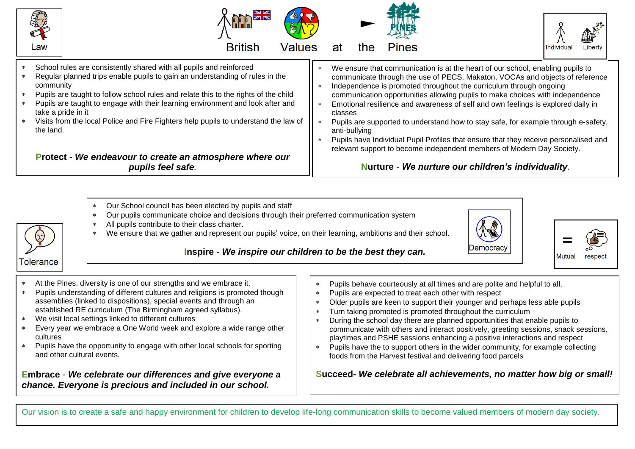

- community Pupils are taught to follow school rules and relate this to the rights of the child
- Pupils are taught to engage with their learning environment and look after and take a pride in it
- Visits from the local Police and Fire Fighters help pupils to understand the law of the land.

**Protect** - *We endeavour to create an atmosphere where our pupils feel safe.*

- 
- \* Independence is promoted throughout the curriculum through ongoing communication opportunities allowing pupils to make choices with independence Emotional resilience and awareness of self and own feelings is explored daily in
- classes
- Pupils are supported to understand how to stay safe, for example through e-safety, anti-bullying
- Pupils have Individual Pupil Profiles that ensure that they receive personalised and relevant support to become independent members of Modern Day Society.

## **Nurture** - *We nurture our children's individuality.*

- Our School council has been elected by pupils and staff
- Our pupils communicate choice and decisions through their preferred communication system
- All pupils contribute to their class charter. We ensure that we gather and represent our pupils' voice, on their learning, ambitions and their school.





## **Inspire** - *We inspire our children to be the best they can.*

- At the Pines, diversity is one of our strengths and we embrace it.
- Pupils understanding of different cultures and religions is promoted though assemblies (linked to dispositions), special events and through an established RE curriculum (The Birmingham agreed syllabus).
- We visit local settings linked to different cultures
- Every year we embrace a One World week and explore a wide range other cultures
- Pupils have the opportunity to engage with other local schools for sporting and other cultural events.

**Embrace** - *We celebrate our differences and give everyone a chance. Everyone is precious and included in our school.*

- Pupils behave courteously at all times and are polite and helpful to all.
- Pupils are expected to treat each other with respect
- Older pupils are keen to support their younger and perhaps less able pupils
- Turn taking promoted is promoted throughout the curriculum
- During the school day there are planned opportunities that enable pupils to communicate with others and interact positively, greeting sessions, snack sessions, playtimes and PSHE sessions enhancing a positive interactions and respect
- Pupils have the to support others in the wider community, for example collecting foods from the Harvest festival and delivering food parcels

**Succeed-** *We celebrate all achievements, no matter how big or small!*

Our vision is to create a safe and happy environment for children to develop life-long communication skills to become valued members of modern day society.

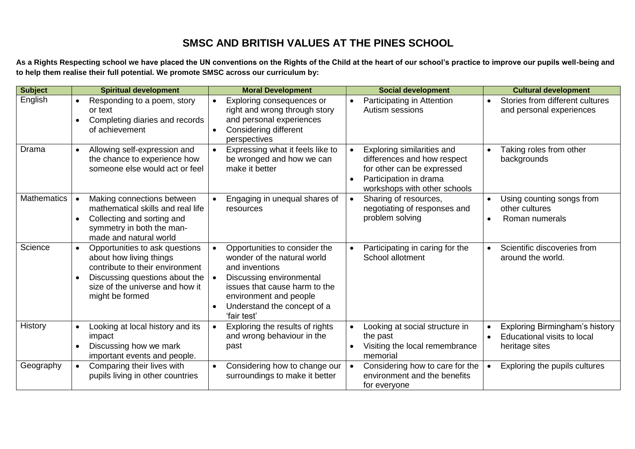## **SMSC AND BRITISH VALUES AT THE PINES SCHOOL**

**As a Rights Respecting school we have placed the UN conventions on the Rights of the Child at the heart of our school's practice to improve our pupils well-being and to help them realise their full potential. We promote SMSC across our curriculum by:**

| <b>Subject</b>     | <b>Spiritual development</b>                                                                                                                                                         | <b>Moral Development</b>                                                                                                                                                                                                         | <b>Social development</b>                                                                                                                         | <b>Cultural development</b>                                                                               |
|--------------------|--------------------------------------------------------------------------------------------------------------------------------------------------------------------------------------|----------------------------------------------------------------------------------------------------------------------------------------------------------------------------------------------------------------------------------|---------------------------------------------------------------------------------------------------------------------------------------------------|-----------------------------------------------------------------------------------------------------------|
| English            | Responding to a poem, story<br>or text<br>Completing diaries and records<br>of achievement                                                                                           | Exploring consequences or<br>$\bullet$<br>right and wrong through story<br>and personal experiences<br>Considering different<br>perspectives                                                                                     | Participating in Attention<br>$\bullet$<br>Autism sessions                                                                                        | Stories from different cultures<br>$\bullet$<br>and personal experiences                                  |
| Drama              | Allowing self-expression and<br>the chance to experience how<br>someone else would act or feel                                                                                       | Expressing what it feels like to<br>$\bullet$<br>be wronged and how we can<br>make it better                                                                                                                                     | Exploring similarities and<br>differences and how respect<br>for other can be expressed<br>Participation in drama<br>workshops with other schools | Taking roles from other<br>backgrounds                                                                    |
| <b>Mathematics</b> | Making connections between<br>mathematical skills and real life<br>Collecting and sorting and<br>$\bullet$<br>symmetry in both the man-<br>made and natural world                    | Engaging in unequal shares of<br>resources                                                                                                                                                                                       | Sharing of resources,<br>$\bullet$<br>negotiating of responses and<br>problem solving                                                             | Using counting songs from<br>other cultures<br>Roman numerals<br>$\bullet$                                |
| Science            | Opportunities to ask questions<br>about how living things<br>contribute to their environment<br>Discussing questions about the<br>size of the universe and how it<br>might be formed | Opportunities to consider the<br>wonder of the natural world<br>and inventions<br>Discussing environmental<br>issues that cause harm to the<br>environment and people<br>Understand the concept of a<br>$\bullet$<br>'fair test' | Participating in caring for the<br>$\bullet$<br>School allotment                                                                                  | Scientific discoveries from<br>around the world.                                                          |
| History            | Looking at local history and its<br>impact<br>Discussing how we mark<br>$\bullet$<br>important events and people.                                                                    | Exploring the results of rights<br>and wrong behaviour in the<br>past                                                                                                                                                            | Looking at social structure in<br>$\bullet$<br>the past<br>Visiting the local remembrance<br>memorial                                             | Exploring Birmingham's history<br>$\bullet$<br>Educational visits to local<br>$\bullet$<br>heritage sites |
| Geography          | Comparing their lives with<br>pupils living in other countries                                                                                                                       | Considering how to change our<br>$\bullet$<br>surroundings to make it better                                                                                                                                                     | Considering how to care for the<br>$\bullet$<br>environment and the benefits<br>for everyone                                                      | Exploring the pupils cultures                                                                             |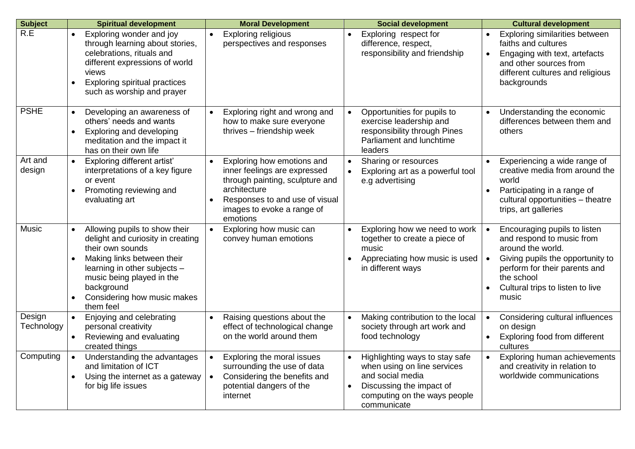| <b>Subject</b>       | <b>Spiritual development</b>                                                                                                                                                                                                                                          | <b>Moral Development</b>                                                                                                                                                                                            | <b>Social development</b>                                                                                                                                    | <b>Cultural development</b>                                                                                                                                                                                                 |
|----------------------|-----------------------------------------------------------------------------------------------------------------------------------------------------------------------------------------------------------------------------------------------------------------------|---------------------------------------------------------------------------------------------------------------------------------------------------------------------------------------------------------------------|--------------------------------------------------------------------------------------------------------------------------------------------------------------|-----------------------------------------------------------------------------------------------------------------------------------------------------------------------------------------------------------------------------|
| R.E                  | Exploring wonder and joy<br>through learning about stories,<br>celebrations, rituals and<br>different expressions of world<br>views<br>Exploring spiritual practices<br>$\bullet$<br>such as worship and prayer                                                       | <b>Exploring religious</b><br>$\bullet$<br>perspectives and responses                                                                                                                                               | Exploring respect for<br>difference, respect,<br>responsibility and friendship                                                                               | Exploring similarities between<br>faiths and cultures<br>Engaging with text, artefacts<br>$\bullet$<br>and other sources from<br>different cultures and religious<br>backgrounds                                            |
| <b>PSHE</b>          | Developing an awareness of<br>$\bullet$<br>others' needs and wants<br>Exploring and developing<br>$\bullet$<br>meditation and the impact it<br>has on their own life                                                                                                  | Exploring right and wrong and<br>$\bullet$<br>how to make sure everyone<br>thrives - friendship week                                                                                                                | Opportunities for pupils to<br>$\bullet$<br>exercise leadership and<br>responsibility through Pines<br>Parliament and lunchtime<br>leaders                   | Understanding the economic<br>differences between them and<br>others                                                                                                                                                        |
| Art and<br>design    | Exploring different artist'<br>$\bullet$<br>interpretations of a key figure<br>or event<br>Promoting reviewing and<br>evaluating art                                                                                                                                  | Exploring how emotions and<br>$\bullet$<br>inner feelings are expressed<br>through painting, sculpture and<br>architecture<br>Responses to and use of visual<br>$\bullet$<br>images to evoke a range of<br>emotions | Sharing or resources<br>Exploring art as a powerful tool<br>e.g advertising                                                                                  | Experiencing a wide range of<br>$\bullet$<br>creative media from around the<br>world<br>Participating in a range of<br>$\bullet$<br>cultural opportunities - theatre<br>trips, art galleries                                |
| <b>Music</b>         | Allowing pupils to show their<br>$\bullet$<br>delight and curiosity in creating<br>their own sounds<br>Making links between their<br>learning in other subjects -<br>music being played in the<br>background<br>Considering how music makes<br>$\bullet$<br>them feel | Exploring how music can<br>$\bullet$<br>convey human emotions                                                                                                                                                       | Exploring how we need to work<br>together to create a piece of<br>music<br>Appreciating how music is used<br>in different ways                               | Encouraging pupils to listen<br>and respond to music from<br>around the world.<br>Giving pupils the opportunity to<br>perform for their parents and<br>the school<br>Cultural trips to listen to live<br>$\bullet$<br>music |
| Design<br>Technology | Enjoying and celebrating<br>$\bullet$<br>personal creativity<br>Reviewing and evaluating<br>created things                                                                                                                                                            | Raising questions about the<br>$\bullet$<br>effect of technological change<br>on the world around them                                                                                                              | Making contribution to the local<br>society through art work and<br>food technology                                                                          | Considering cultural influences<br>$\bullet$<br>on design<br>Exploring food from different<br>$\bullet$<br>cultures                                                                                                         |
| Computing            | Understanding the advantages<br>$\bullet$<br>and limitation of ICT<br>Using the internet as a gateway<br>$\bullet$<br>for big life issues                                                                                                                             | Exploring the moral issues<br>$\bullet$<br>surrounding the use of data<br>Considering the benefits and<br>$\bullet$<br>potential dangers of the<br>internet                                                         | Highlighting ways to stay safe<br>when using on line services<br>and social media<br>Discussing the impact of<br>computing on the ways people<br>communicate | Exploring human achievements<br>$\bullet$<br>and creativity in relation to<br>worldwide communications                                                                                                                      |